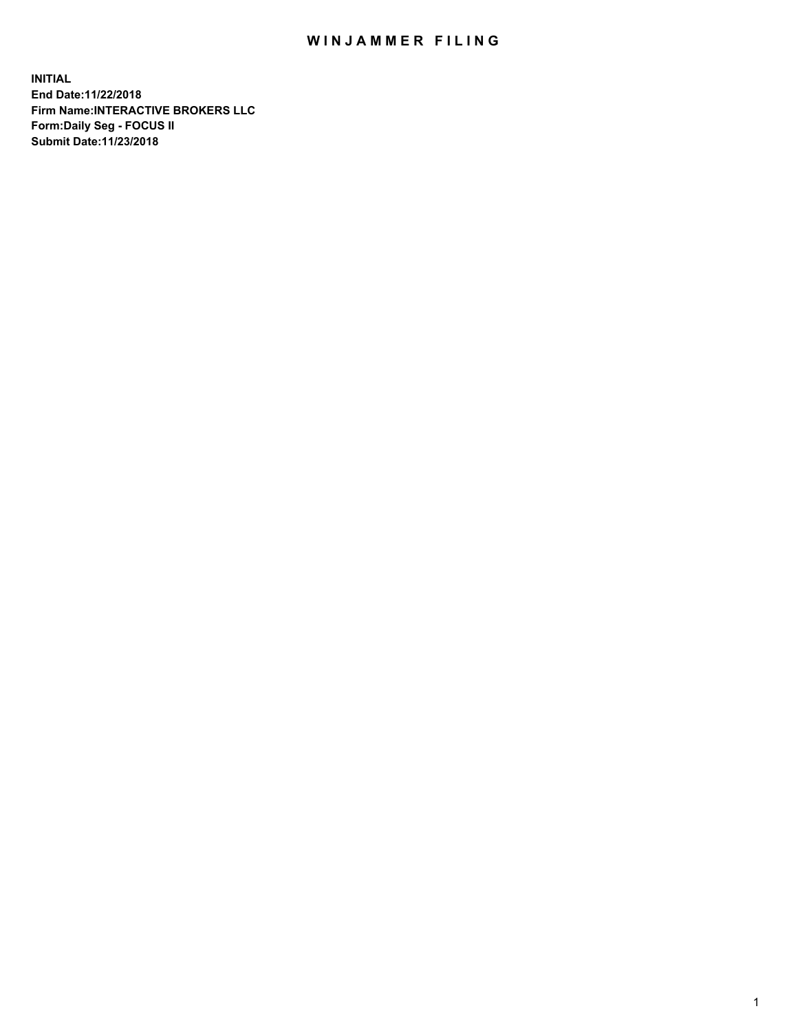## WIN JAMMER FILING

**INITIAL End Date:11/22/2018 Firm Name:INTERACTIVE BROKERS LLC Form:Daily Seg - FOCUS II Submit Date:11/23/2018**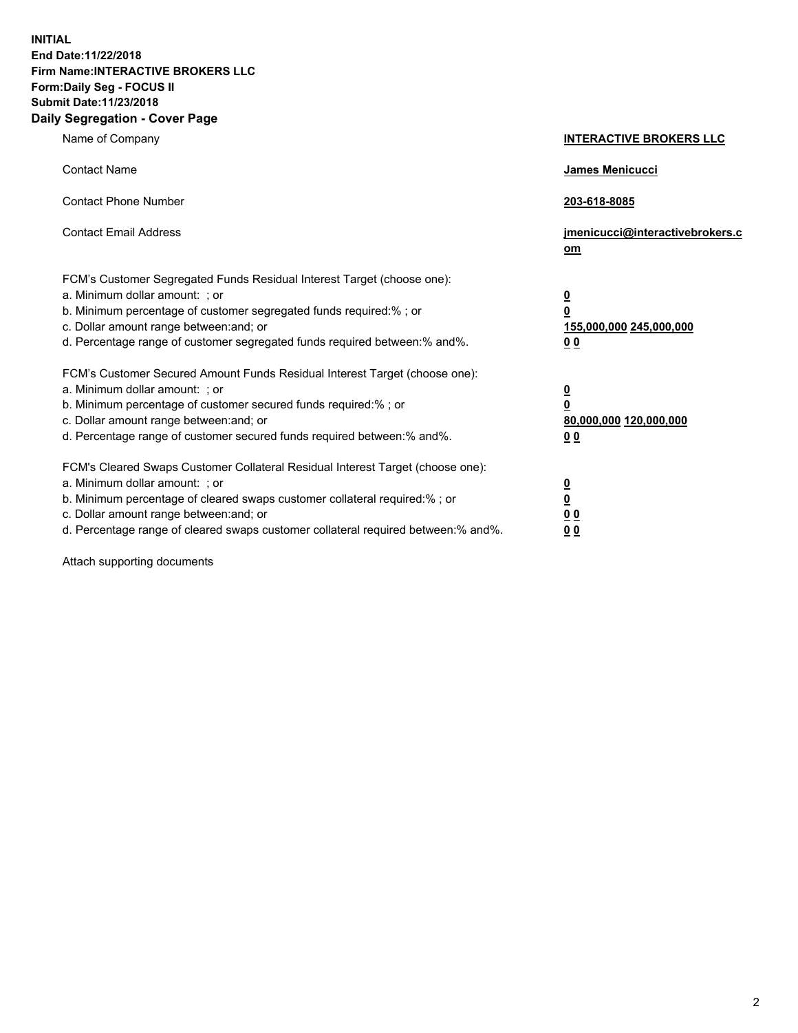**INITIAL End Date:11/22/2018 Firm Name:INTERACTIVE BROKERS LLC Form:Daily Seg - FOCUS II Submit Date:11/23/2018 Daily Segregation - Cover Page**

| Name of Company                                                                                                                                                                                                                                                                                                                | <b>INTERACTIVE BROKERS LLC</b>                                                                  |
|--------------------------------------------------------------------------------------------------------------------------------------------------------------------------------------------------------------------------------------------------------------------------------------------------------------------------------|-------------------------------------------------------------------------------------------------|
| <b>Contact Name</b>                                                                                                                                                                                                                                                                                                            | James Menicucci                                                                                 |
| <b>Contact Phone Number</b>                                                                                                                                                                                                                                                                                                    | 203-618-8085                                                                                    |
| <b>Contact Email Address</b>                                                                                                                                                                                                                                                                                                   | jmenicucci@interactivebrokers.c<br>om                                                           |
| FCM's Customer Segregated Funds Residual Interest Target (choose one):<br>a. Minimum dollar amount: ; or<br>b. Minimum percentage of customer segregated funds required:%; or<br>c. Dollar amount range between: and; or<br>d. Percentage range of customer segregated funds required between:% and%.                          | $\overline{\mathbf{0}}$<br>$\overline{\mathbf{0}}$<br>155,000,000 245,000,000<br>0 <sub>0</sub> |
| FCM's Customer Secured Amount Funds Residual Interest Target (choose one):<br>a. Minimum dollar amount: ; or<br>b. Minimum percentage of customer secured funds required:% ; or<br>c. Dollar amount range between: and; or<br>d. Percentage range of customer secured funds required between:% and%.                           | $\overline{\mathbf{0}}$<br>$\overline{\mathbf{0}}$<br>80,000,000 120,000,000<br>0 <sub>0</sub>  |
| FCM's Cleared Swaps Customer Collateral Residual Interest Target (choose one):<br>a. Minimum dollar amount: ; or<br>b. Minimum percentage of cleared swaps customer collateral required:% ; or<br>c. Dollar amount range between: and; or<br>d. Percentage range of cleared swaps customer collateral required between:% and%. | $\overline{\mathbf{0}}$<br>$\underline{\mathbf{0}}$<br>0 <sub>0</sub><br>0 <sub>0</sub>         |

Attach supporting documents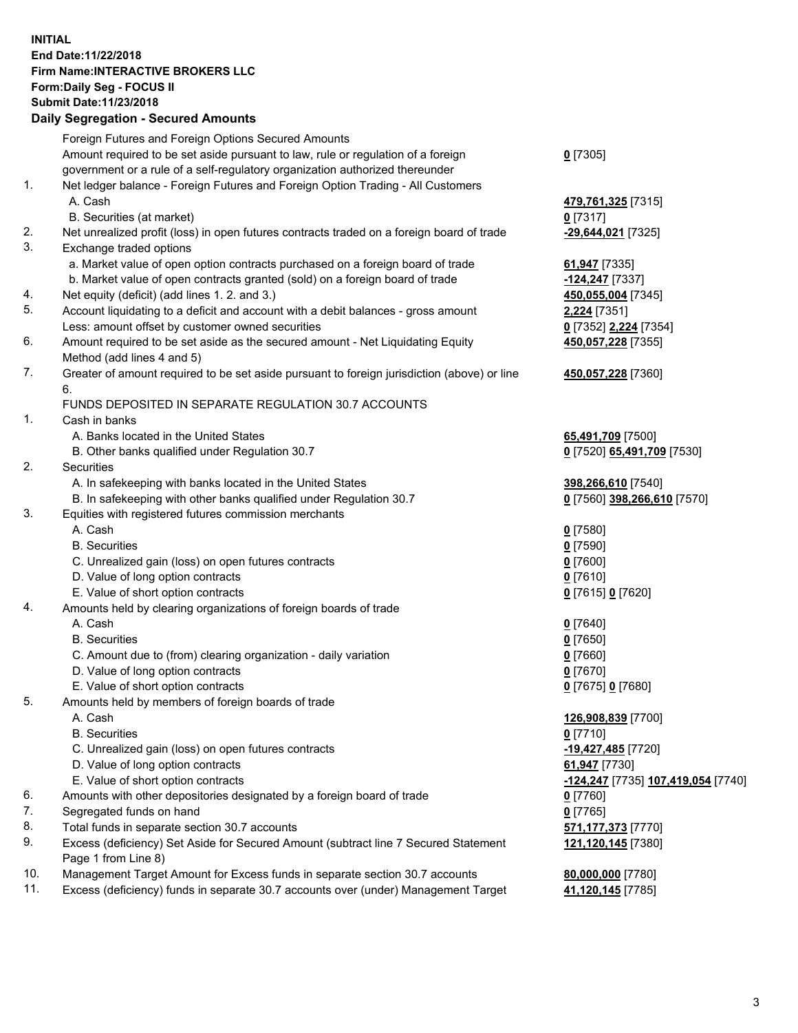## **INITIAL End Date:11/22/2018 Firm Name:INTERACTIVE BROKERS LLC Form:Daily Seg - FOCUS II Submit Date:11/23/2018 Daily Segregation - Secured Amounts**

|     | Daily Segregation - Secured Amounts                                                                                         |                                    |
|-----|-----------------------------------------------------------------------------------------------------------------------------|------------------------------------|
|     | Foreign Futures and Foreign Options Secured Amounts                                                                         |                                    |
|     | Amount required to be set aside pursuant to law, rule or regulation of a foreign                                            | $0$ [7305]                         |
|     | government or a rule of a self-regulatory organization authorized thereunder                                                |                                    |
| 1.  | Net ledger balance - Foreign Futures and Foreign Option Trading - All Customers                                             |                                    |
|     | A. Cash                                                                                                                     | 479,761,325 [7315]                 |
|     | B. Securities (at market)                                                                                                   | $0$ [7317]                         |
| 2.  | Net unrealized profit (loss) in open futures contracts traded on a foreign board of trade                                   | -29,644,021 [7325]                 |
| 3.  | Exchange traded options                                                                                                     |                                    |
|     | a. Market value of open option contracts purchased on a foreign board of trade                                              | 61,947 [7335]                      |
|     | b. Market value of open contracts granted (sold) on a foreign board of trade                                                | -124,247 [7337]                    |
| 4.  | Net equity (deficit) (add lines 1. 2. and 3.)                                                                               | 450,055,004 [7345]                 |
| 5.  | Account liquidating to a deficit and account with a debit balances - gross amount                                           | 2,224 [7351]                       |
|     | Less: amount offset by customer owned securities                                                                            | 0 [7352] 2,224 [7354]              |
| 6.  | Amount required to be set aside as the secured amount - Net Liquidating Equity                                              | 450,057,228 [7355]                 |
|     | Method (add lines 4 and 5)                                                                                                  |                                    |
| 7.  | Greater of amount required to be set aside pursuant to foreign jurisdiction (above) or line                                 | 450,057,228 [7360]                 |
|     | 6.                                                                                                                          |                                    |
|     | FUNDS DEPOSITED IN SEPARATE REGULATION 30.7 ACCOUNTS                                                                        |                                    |
| 1.  | Cash in banks                                                                                                               |                                    |
|     | A. Banks located in the United States                                                                                       | 65,491,709 [7500]                  |
| 2.  | B. Other banks qualified under Regulation 30.7                                                                              | 0 [7520] 65,491,709 [7530]         |
|     | Securities                                                                                                                  |                                    |
|     | A. In safekeeping with banks located in the United States                                                                   | 398,266,610 [7540]                 |
| 3.  | B. In safekeeping with other banks qualified under Regulation 30.7<br>Equities with registered futures commission merchants | 0 [7560] 398,266,610 [7570]        |
|     | A. Cash                                                                                                                     | $0$ [7580]                         |
|     | <b>B.</b> Securities                                                                                                        | $0$ [7590]                         |
|     | C. Unrealized gain (loss) on open futures contracts                                                                         | $0$ [7600]                         |
|     | D. Value of long option contracts                                                                                           | $0$ [7610]                         |
|     | E. Value of short option contracts                                                                                          | 0 [7615] 0 [7620]                  |
| 4.  | Amounts held by clearing organizations of foreign boards of trade                                                           |                                    |
|     | A. Cash                                                                                                                     | $0$ [7640]                         |
|     | <b>B.</b> Securities                                                                                                        | $0$ [7650]                         |
|     | C. Amount due to (from) clearing organization - daily variation                                                             | $0$ [7660]                         |
|     | D. Value of long option contracts                                                                                           | $0$ [7670]                         |
|     | E. Value of short option contracts                                                                                          | 0 [7675] 0 [7680]                  |
| 5.  | Amounts held by members of foreign boards of trade                                                                          |                                    |
|     | A. Cash                                                                                                                     | 126,908,839 [7700]                 |
|     | <b>B.</b> Securities                                                                                                        | $0$ [7710]                         |
|     | C. Unrealized gain (loss) on open futures contracts                                                                         | -19,427,485 [7720]                 |
|     | D. Value of long option contracts                                                                                           | 61,947 [7730]                      |
|     | E. Value of short option contracts                                                                                          | -124,247 [7735] 107,419,054 [7740] |
| 6.  | Amounts with other depositories designated by a foreign board of trade                                                      | $0$ [7760]                         |
| 7.  | Segregated funds on hand                                                                                                    | $0$ [7765]                         |
| 8.  | Total funds in separate section 30.7 accounts                                                                               | 571,177,373 [7770]                 |
| 9.  | Excess (deficiency) Set Aside for Secured Amount (subtract line 7 Secured Statement                                         | 121,120,145 [7380]                 |
|     | Page 1 from Line 8)                                                                                                         |                                    |
| 10. | Management Target Amount for Excess funds in separate section 30.7 accounts                                                 | 80,000,000 [7780]                  |
| 11. | Excess (deficiency) funds in separate 30.7 accounts over (under) Management Target                                          | 41,120,145 [7785]                  |
|     |                                                                                                                             |                                    |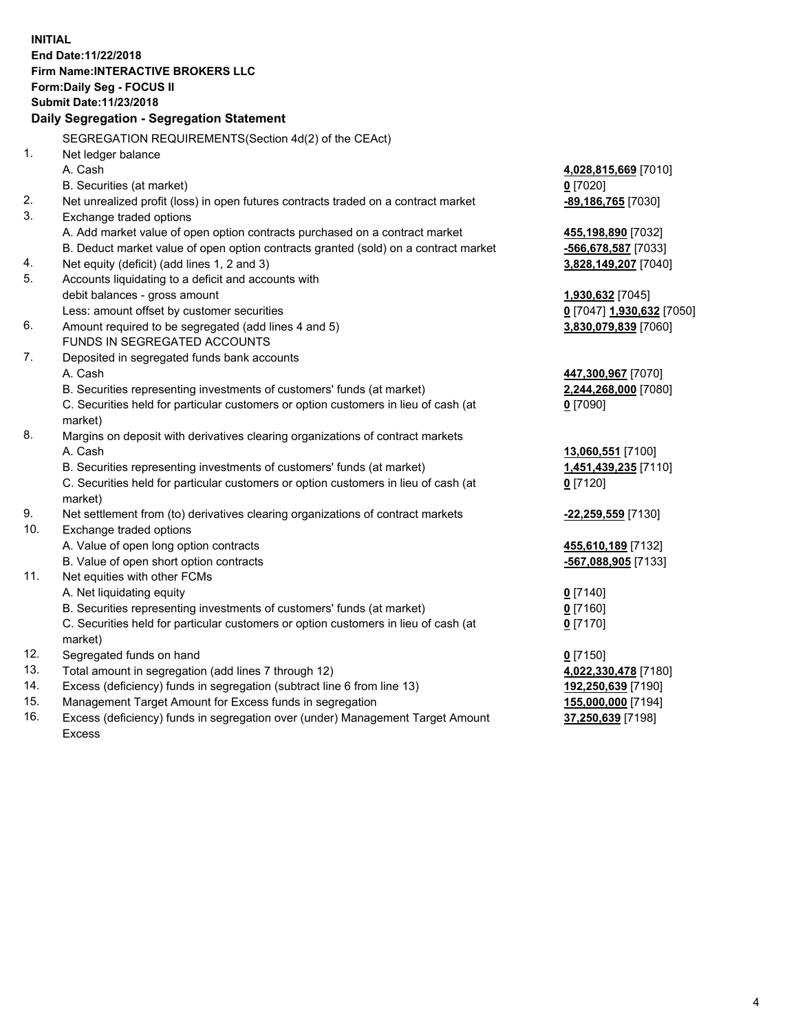**INITIAL End Date:11/22/2018 Firm Name:INTERACTIVE BROKERS LLC Form:Daily Seg - FOCUS II Submit Date:11/23/2018 Daily Segregation - Segregation Statement** SEGREGATION REQUIREMENTS(Section 4d(2) of the CEAct) 1. Net ledger balance A. Cash **4,028,815,669** [7010] B. Securities (at market) **0** [7020] 2. Net unrealized profit (loss) in open futures contracts traded on a contract market **-89,186,765** [7030] 3. Exchange traded options A. Add market value of open option contracts purchased on a contract market **455,198,890** [7032] B. Deduct market value of open option contracts granted (sold) on a contract market **-566,678,587** [7033] 4. Net equity (deficit) (add lines 1, 2 and 3) **3,828,149,207** [7040] 5. Accounts liquidating to a deficit and accounts with debit balances - gross amount **1,930,632** [7045] Less: amount offset by customer securities **0** [7047] **1,930,632** [7050] 6. Amount required to be segregated (add lines 4 and 5) **3,830,079,839** [7060] FUNDS IN SEGREGATED ACCOUNTS 7. Deposited in segregated funds bank accounts A. Cash **447,300,967** [7070] B. Securities representing investments of customers' funds (at market) **2,244,268,000** [7080] C. Securities held for particular customers or option customers in lieu of cash (at market) **0** [7090] 8. Margins on deposit with derivatives clearing organizations of contract markets A. Cash **13,060,551** [7100] B. Securities representing investments of customers' funds (at market) **1,451,439,235** [7110] C. Securities held for particular customers or option customers in lieu of cash (at market) **0** [7120] 9. Net settlement from (to) derivatives clearing organizations of contract markets **-22,259,559** [7130] 10. Exchange traded options A. Value of open long option contracts **455,610,189** [7132] B. Value of open short option contracts **-567,088,905** [7133] 11. Net equities with other FCMs A. Net liquidating equity **0** [7140] B. Securities representing investments of customers' funds (at market) **0** [7160] C. Securities held for particular customers or option customers in lieu of cash (at market) **0** [7170] 12. Segregated funds on hand **0** [7150] 13. Total amount in segregation (add lines 7 through 12) **4,022,330,478** [7180] 14. Excess (deficiency) funds in segregation (subtract line 6 from line 13) **192,250,639** [7190] 15. Management Target Amount for Excess funds in segregation **155,000,000** [7194]

16. Excess (deficiency) funds in segregation over (under) Management Target Amount Excess

**37,250,639** [7198]